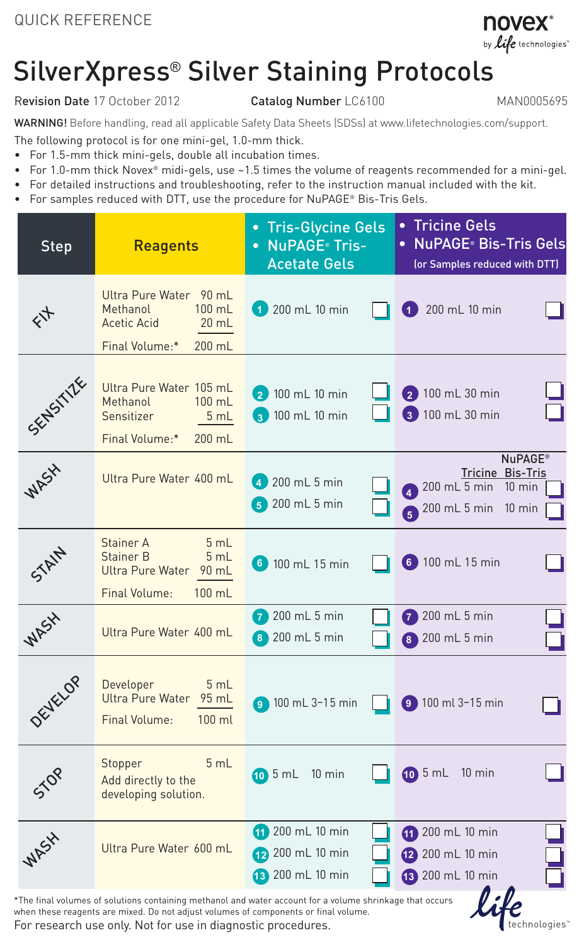

## SilverXpress® Silver Staining Protocols

## Revision Date 17 October 2012 Catalog Number LC6100 MAN0005695

technologies"

WARNING! Before handling, read all applicable Safety Data Sheets (SDSs) at www.lifetechnologies.com/support.

The following protocol is for one mini-gel, 1.0-mm thick.

- • For 1.5-mm thick mini-gels, double all incubation times.
- • For 1.0-mm thick Novex® midi-gels, use ~1.5 times the volume of reagents recommended for a mini-gel.
- • For detailed instructions and troubleshooting, refer to the instruction manual included with the kit.
- For samples reduced with DTT, use the procedure for NuPAGE® Bis-Tris Gels.

| <b>Step</b>                                                                                                        | <b>Reagents</b>                                                                                             | • Tris-Glycine Gels<br>• NuPAGE <sup>®</sup> Tris-<br><b>Acetate Gels</b> | • Tricine Gels<br><b>NuPAGE</b> ® Bis-Tris Gels<br>(or Samples reduced with DTT)                                                                        |  |  |
|--------------------------------------------------------------------------------------------------------------------|-------------------------------------------------------------------------------------------------------------|---------------------------------------------------------------------------|---------------------------------------------------------------------------------------------------------------------------------------------------------|--|--|
| $\zeta_{\uparrow}$                                                                                                 | Ultra Pure Water 90 mL<br>Methanol<br>$100$ mL<br><b>Acetic Acid</b><br>$20$ mL<br>Final Volume:*<br>200 mL | 1 200 mL 10 min                                                           | 200 mL 10 min                                                                                                                                           |  |  |
| SENSITIES                                                                                                          | Ultra Pure Water 105 mL<br>Methanol<br>$100 \text{ mL}$<br>Sensitizer<br>5 mL<br>Final Volume:*<br>200 mL   | 2 100 mL 10 min<br>100 mL 10 min<br>$\left( 3 \right)$                    | 2 100 mL 30 min<br>3 100 mL 30 min                                                                                                                      |  |  |
| WASY                                                                                                               | Ultra Pure Water 400 mL                                                                                     | 200 mL 5 min<br>$\overline{4}$<br>200 mL 5 min<br>5                       | <b>NuPAGE®</b><br>Tricine Bis-Tris<br>200 mL 5 min<br>$10 \text{ min}$<br>$\overline{4}$<br>200 mL 5 min<br>$10 \text{ min}$<br>$\overline{\mathbf{G}}$ |  |  |
| STAIN                                                                                                              | Stainer A<br>5 mL<br>Stainer B<br>5 mL<br><b>Ultra Pure Water</b><br>90 mL<br>Final Volume:<br>100 mL       | $6$ 100 mL 15 min                                                         | 6 100 mL 15 min                                                                                                                                         |  |  |
| WASY                                                                                                               | Ultra Pure Water 400 mL                                                                                     | <b>200 mL 5 min</b><br>200 mL 5 min<br>8                                  | <b>7</b> 200 mL 5 min<br>200 mL 5 min<br>់8                                                                                                             |  |  |
| DEVELOP                                                                                                            | Developer<br>5mL<br><b>Ultra Pure Water</b><br>95 mL<br><b>Final Volume:</b><br>$100$ ml                    | <b>9</b> 100 mL 3-15 min                                                  | 9 100 ml 3-15 min                                                                                                                                       |  |  |
| 550                                                                                                                | 5 mL<br>Stopper<br>Add directly to the<br>developing solution.                                              | $10.5$ mL<br>$10 \text{ min}$                                             | $\underline{0}$ 5 mL<br>$10 \text{ min}$                                                                                                                |  |  |
| WASY                                                                                                               | Ultra Pure Water 600 mL                                                                                     | 200 mL 10 min<br>41<br>200 mL 10 min<br>(12)<br>200 mL 10 min<br>43)      | 11 200 mL 10 min<br>12 200 mL 10 min<br>18 200 mL 10 min                                                                                                |  |  |
| l : le<br>*The final volumes of solutions containing methanol and water account for a volume shrinkage that occurs |                                                                                                             |                                                                           |                                                                                                                                                         |  |  |

when these reagents are mixed. Do not adjust volumes of components or final volume.

For research use only. Not for use in diagnostic procedures.